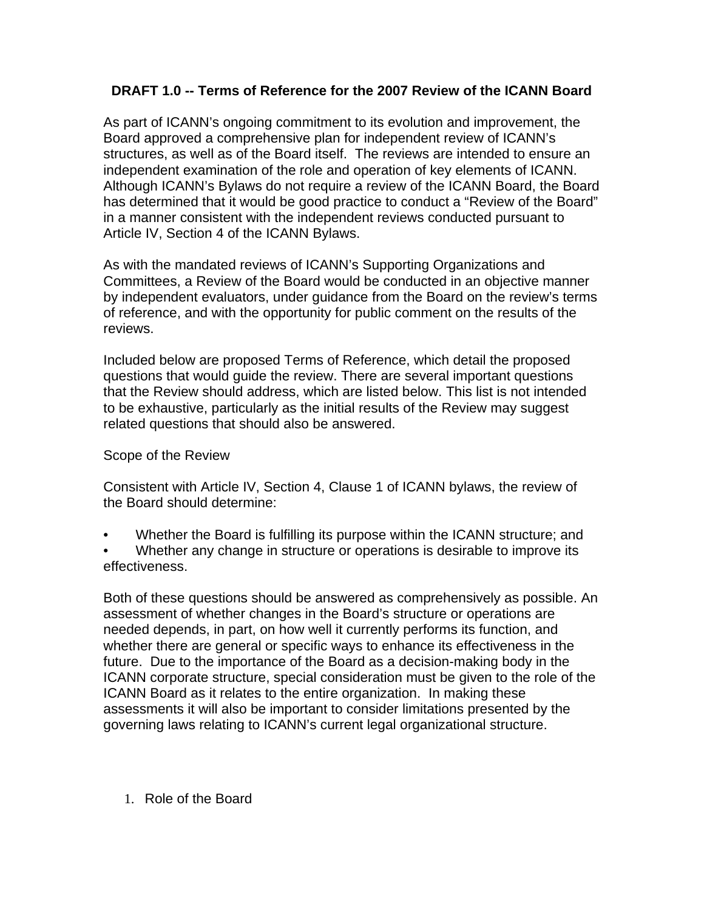## **DRAFT 1.0 -- Terms of Reference for the 2007 Review of the ICANN Board**

As part of ICANN's ongoing commitment to its evolution and improvement, the Board approved a comprehensive plan for independent review of ICANN's structures, as well as of the Board itself. The reviews are intended to ensure an independent examination of the role and operation of key elements of ICANN. Although ICANN's Bylaws do not require a review of the ICANN Board, the Board has determined that it would be good practice to conduct a "Review of the Board" in a manner consistent with the independent reviews conducted pursuant to Article IV, Section 4 of the ICANN Bylaws.

As with the mandated reviews of ICANN's Supporting Organizations and Committees, a Review of the Board would be conducted in an objective manner by independent evaluators, under guidance from the Board on the review's terms of reference, and with the opportunity for public comment on the results of the reviews.

Included below are proposed Terms of Reference, which detail the proposed questions that would guide the review. There are several important questions that the Review should address, which are listed below. This list is not intended to be exhaustive, particularly as the initial results of the Review may suggest related questions that should also be answered.

## Scope of the Review

Consistent with Article IV, Section 4, Clause 1 of ICANN bylaws, the review of the Board should determine:

- Whether the Board is fulfilling its purpose within the ICANN structure; and
- Whether any change in structure or operations is desirable to improve its effectiveness.

Both of these questions should be answered as comprehensively as possible. An assessment of whether changes in the Board's structure or operations are needed depends, in part, on how well it currently performs its function, and whether there are general or specific ways to enhance its effectiveness in the future. Due to the importance of the Board as a decision-making body in the ICANN corporate structure, special consideration must be given to the role of the ICANN Board as it relates to the entire organization. In making these assessments it will also be important to consider limitations presented by the governing laws relating to ICANN's current legal organizational structure.

1. Role of the Board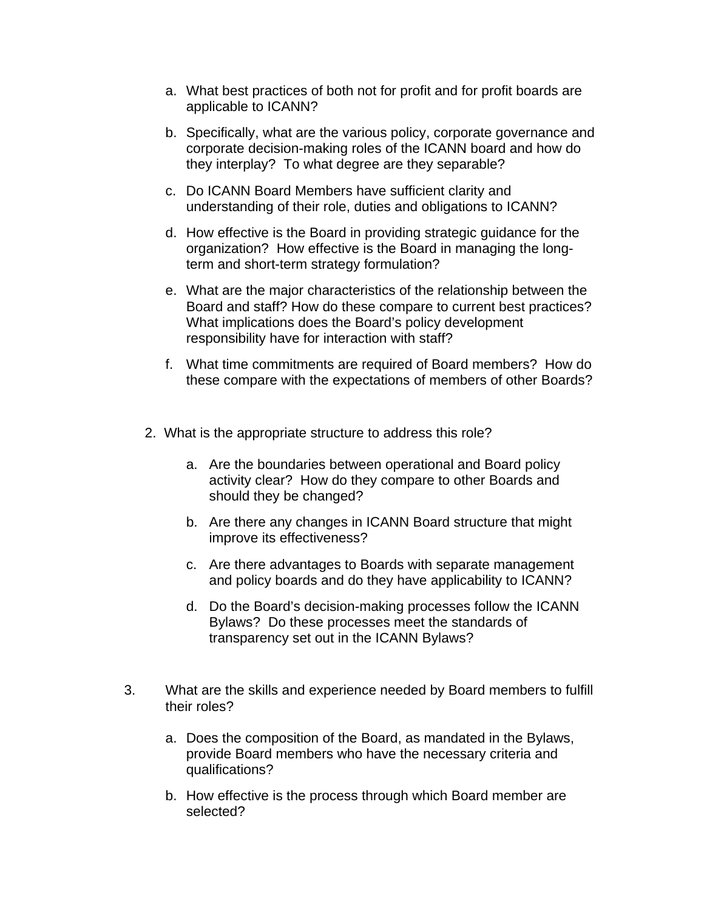- a. What best practices of both not for profit and for profit boards are applicable to ICANN?
- b. Specifically, what are the various policy, corporate governance and corporate decision-making roles of the ICANN board and how do they interplay? To what degree are they separable?
- c. Do ICANN Board Members have sufficient clarity and understanding of their role, duties and obligations to ICANN?
- d. How effective is the Board in providing strategic guidance for the organization? How effective is the Board in managing the longterm and short-term strategy formulation?
- e. What are the major characteristics of the relationship between the Board and staff? How do these compare to current best practices? What implications does the Board's policy development responsibility have for interaction with staff?
- f. What time commitments are required of Board members? How do these compare with the expectations of members of other Boards?
- 2. What is the appropriate structure to address this role?
	- a. Are the boundaries between operational and Board policy activity clear? How do they compare to other Boards and should they be changed?
	- b. Are there any changes in ICANN Board structure that might improve its effectiveness?
	- c. Are there advantages to Boards with separate management and policy boards and do they have applicability to ICANN?
	- d. Do the Board's decision-making processes follow the ICANN Bylaws? Do these processes meet the standards of transparency set out in the ICANN Bylaws?
- 3. What are the skills and experience needed by Board members to fulfill their roles?
	- a. Does the composition of the Board, as mandated in the Bylaws, provide Board members who have the necessary criteria and qualifications?
	- b. How effective is the process through which Board member are selected?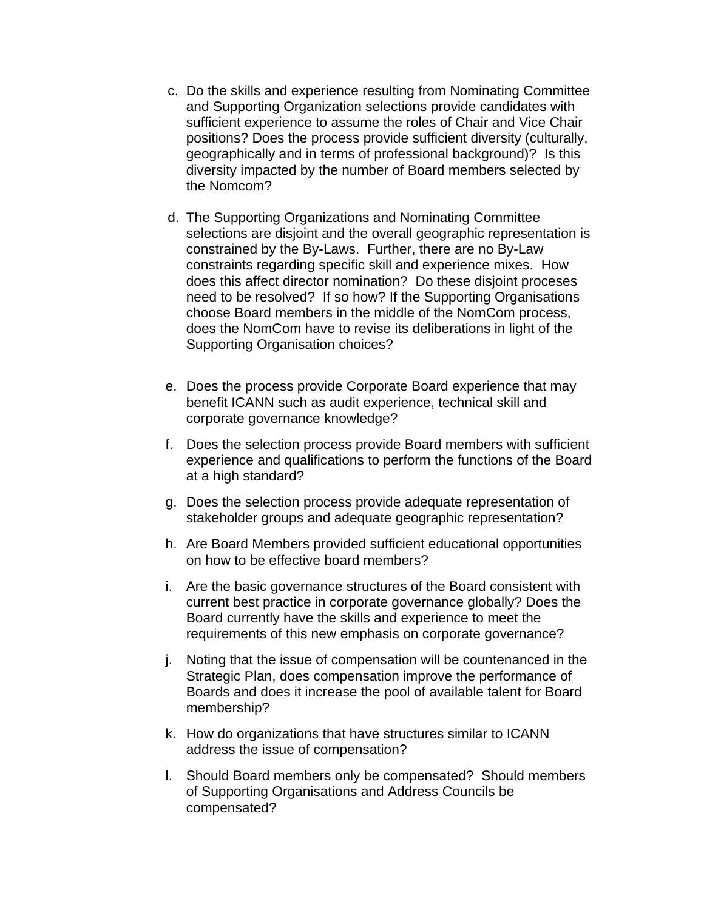- c. Do the skills and experience resulting from Nominating Committee and Supporting Organization selections provide candidates with sufficient experience to assume the roles of Chair and Vice Chair positions? Does the process provide sufficient diversity (culturally, geographically and in terms of professional background)? Is this diversity impacted by the number of Board members selected by the Nomcom?
- d. The Supporting Organizations and Nominating Committee selections are disjoint and the overall geographic representation is constrained by the By-Laws. Further, there are no By-Law constraints regarding specific skill and experience mixes. How does this affect director nomination? Do these disjoint proceses need to be resolved? If so how? If the Supporting Organisations choose Board members in the middle of the NomCom process, does the NomCom have to revise its deliberations in light of the Supporting Organisation choices?
- e. Does the process provide Corporate Board experience that may benefit ICANN such as audit experience, technical skill and corporate governance knowledge?
- f. Does the selection process provide Board members with sufficient experience and qualifications to perform the functions of the Board at a high standard?
- g. Does the selection process provide adequate representation of stakeholder groups and adequate geographic representation?
- h. Are Board Members provided sufficient educational opportunities on how to be effective board members?
- i. Are the basic governance structures of the Board consistent with current best practice in corporate governance globally? Does the Board currently have the skills and experience to meet the requirements of this new emphasis on corporate governance?
- j. Noting that the issue of compensation will be countenanced in the Strategic Plan, does compensation improve the performance of Boards and does it increase the pool of available talent for Board membership?
- k. How do organizations that have structures similar to ICANN address the issue of compensation?
- l. Should Board members only be compensated? Should members of Supporting Organisations and Address Councils be compensated?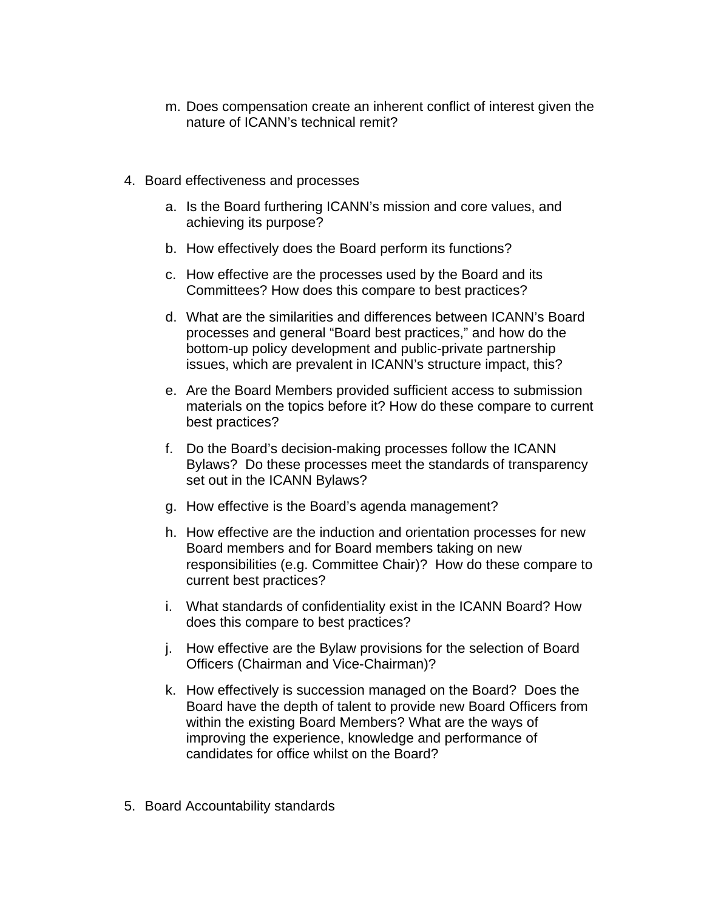- m. Does compensation create an inherent conflict of interest given the nature of ICANN's technical remit?
- 4. Board effectiveness and processes
	- a. Is the Board furthering ICANN's mission and core values, and achieving its purpose?
	- b. How effectively does the Board perform its functions?
	- c. How effective are the processes used by the Board and its Committees? How does this compare to best practices?
	- d. What are the similarities and differences between ICANN's Board processes and general "Board best practices," and how do the bottom-up policy development and public-private partnership issues, which are prevalent in ICANN's structure impact, this?
	- e. Are the Board Members provided sufficient access to submission materials on the topics before it? How do these compare to current best practices?
	- f. Do the Board's decision-making processes follow the ICANN Bylaws? Do these processes meet the standards of transparency set out in the ICANN Bylaws?
	- g. How effective is the Board's agenda management?
	- h. How effective are the induction and orientation processes for new Board members and for Board members taking on new responsibilities (e.g. Committee Chair)? How do these compare to current best practices?
	- i. What standards of confidentiality exist in the ICANN Board? How does this compare to best practices?
	- j. How effective are the Bylaw provisions for the selection of Board Officers (Chairman and Vice-Chairman)?
	- k. How effectively is succession managed on the Board? Does the Board have the depth of talent to provide new Board Officers from within the existing Board Members? What are the ways of improving the experience, knowledge and performance of candidates for office whilst on the Board?
- 5. Board Accountability standards